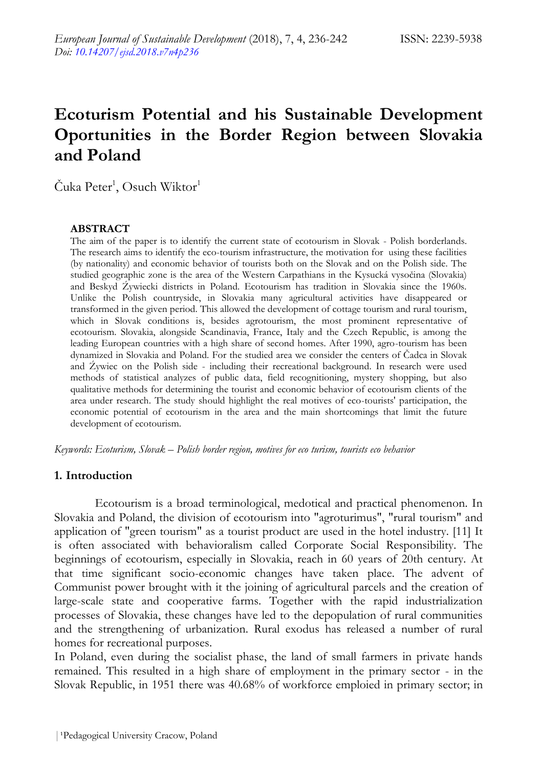# **Ecoturism Potential and his Sustainable Development Oportunities in the Border Region between Slovakia and Poland**

 $\mathrm{\check{C}}$ uka  $\mathrm{Peter}^1, \mathrm{O}$ such Wiktor $^1$ 

#### **ABSTRACT**

The aim of the paper is to identify the current state of ecotourism in Slovak - Polish borderlands. The research aims to identify the eco-tourism infrastructure, the motivation for using these facilities (by nationality) and economic behavior of tourists both on the Slovak and on the Polish side. The studied geographic zone is the area of the Western Carpathians in the Kysucká vysočina (Slovakia) and Beskyd Źywiecki districts in Poland. Ecotourism has tradition in Slovakia since the 1960s. Unlike the Polish countryside, in Slovakia many agricultural activities have disappeared or transformed in the given period. This allowed the development of cottage tourism and rural tourism, which in Slovak conditions is, besides agrotourism, the most prominent representative of ecotourism. Slovakia, alongside Scandinavia, France, Italy and the Czech Republic, is among the leading European countries with a high share of second homes. After 1990, agro-tourism has been dynamized in Slovakia and Poland. For the studied area we consider the centers of Čadca in Slovak and Źywiec on the Polish side - including their recreational background. In research were used methods of statistical analyzes of public data, field recognitioning, mystery shopping, but also qualitative methods for determining the tourist and economic behavior of ecotourism clients of the area under research. The study should highlight the real motives of eco-tourists' participation, the economic potential of ecotourism in the area and the main shortcomings that limit the future development of ecotourism.

*Keywords: Ecoturism, Slovak – Polish border region, motives for eco turism, tourists eco behavior*

#### **1. Introduction**

Ecotourism is a broad terminological, medotical and practical phenomenon. In Slovakia and Poland, the division of ecotourism into "agroturimus", "rural tourism" and application of "green tourism" as a tourist product are used in the hotel industry. [11] It is often associated with behavioralism called Corporate Social Responsibility. The beginnings of ecotourism, especially in Slovakia, reach in 60 years of 20th century. At that time significant socio-economic changes have taken place. The advent of Communist power brought with it the joining of agricultural parcels and the creation of large-scale state and cooperative farms. Together with the rapid industrialization processes of Slovakia, these changes have led to the depopulation of rural communities and the strengthening of urbanization. Rural exodus has released a number of rural homes for recreational purposes.

In Poland, even during the socialist phase, the land of small farmers in private hands remained. This resulted in a high share of employment in the primary sector - in the Slovak Republic, in 1951 there was 40.68% of workforce emploied in primary sector; in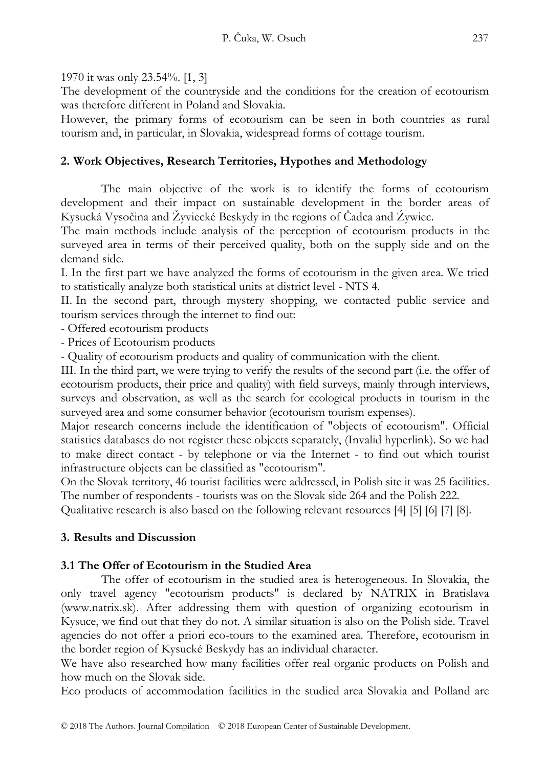1970 it was only 23.54%. [1, 3]

The development of the countryside and the conditions for the creation of ecotourism was therefore different in Poland and Slovakia.

However, the primary forms of ecotourism can be seen in both countries as rural tourism and, in particular, in Slovakia, widespread forms of cottage tourism.

## **2. Work Objectives, Research Territories, Hypothes and Methodology**

The main objective of the work is to identify the forms of ecotourism development and their impact on sustainable development in the border areas of Kysucká Vysočina and Žyviecké Beskydy in the regions of Čadca and Źywiec.

The main methods include analysis of the perception of ecotourism products in the surveyed area in terms of their perceived quality, both on the supply side and on the demand side.

I. In the first part we have analyzed the forms of ecotourism in the given area. We tried to statistically analyze both statistical units at district level - NTS 4.

II. In the second part, through mystery shopping, we contacted public service and tourism services through the internet to find out:

- Offered ecotourism products

- Prices of Ecotourism products

- Quality of ecotourism products and quality of communication with the client.

III. In the third part, we were trying to verify the results of the second part (i.e. the offer of ecotourism products, their price and quality) with field surveys, mainly through interviews, surveys and observation, as well as the search for ecological products in tourism in the surveyed area and some consumer behavior (ecotourism tourism expenses).

Major research concerns include the identification of "objects of ecotourism". Official statistics databases do not register these objects separately, (Invalid hyperlink). So we had to make direct contact - by telephone or via the Internet - to find out which tourist infrastructure objects can be classified as "ecotourism".

On the Slovak territory, 46 tourist facilities were addressed, in Polish site it was 25 facilities. The number of respondents - tourists was on the Slovak side 264 and the Polish 222.

Qualitative research is also based on the following relevant resources [4] [5] [6] [7] [8].

## **3. Results and Discussion**

## **3.1 The Offer of Ecotourism in the Studied Area**

The offer of ecotourism in the studied area is heterogeneous. In Slovakia, the only travel agency "ecotourism products" is declared by NATRIX in Bratislava (www.natrix.sk). After addressing them with question of organizing ecotourism in Kysuce, we find out that they do not. A similar situation is also on the Polish side. Travel agencies do not offer a priori eco-tours to the examined area. Therefore, ecotourism in the border region of Kysucké Beskydy has an individual character.

We have also researched how many facilities offer real organic products on Polish and how much on the Slovak side.

Eco products of accommodation facilities in the studied area Slovakia and Polland are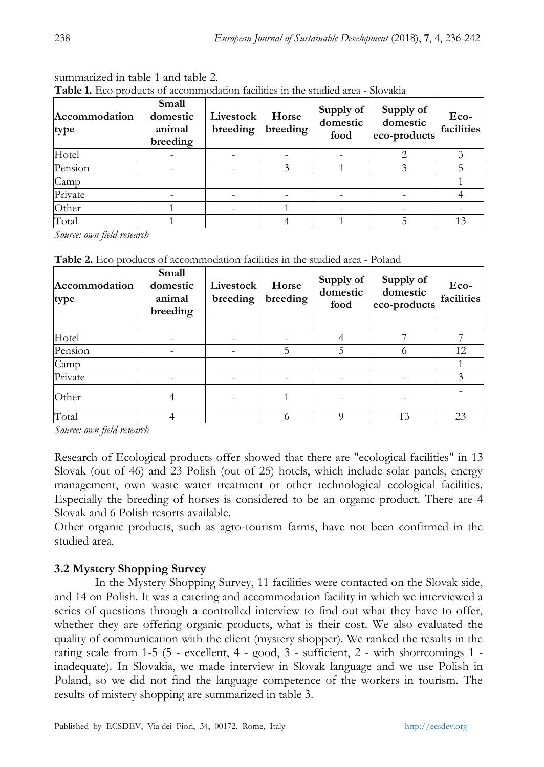| Accommodation<br>type | Small<br>domestic<br>animal<br>breeding | Livestock<br>breeding | Horse<br>breeding | Supply of<br>domestic<br>food | Supply of<br>domestic<br>eco-products | Eco-<br>facilities |
|-----------------------|-----------------------------------------|-----------------------|-------------------|-------------------------------|---------------------------------------|--------------------|
| Hotel                 |                                         |                       |                   |                               |                                       |                    |
| Pension               |                                         |                       |                   |                               |                                       |                    |
| Camp                  |                                         |                       |                   |                               |                                       |                    |
| Private               |                                         |                       |                   |                               |                                       |                    |
| Other                 |                                         |                       |                   |                               |                                       |                    |
| Total                 |                                         |                       |                   |                               |                                       |                    |

summarized in table 1 and table 2. **Table 1.** Eco products of accommodation facilities in the studied area - Slovakia

*Source: own field research*

**Table 2.** Eco products of accommodation facilities in the studied area - Poland

| Accommodation<br>type | Small<br>domestic<br>animal<br>breeding | Livestock<br>breeding | Horse<br>breeding | Supply of<br>domestic<br>food | Supply of<br>domestic<br>eco-products | Eco-<br>facilities |
|-----------------------|-----------------------------------------|-----------------------|-------------------|-------------------------------|---------------------------------------|--------------------|
|                       |                                         |                       |                   |                               |                                       |                    |
| Hotel                 |                                         |                       | -                 |                               |                                       |                    |
| Pension               |                                         |                       | 5                 | 5                             |                                       | 12                 |
| Camp                  |                                         |                       |                   |                               |                                       |                    |
| Private               |                                         |                       |                   |                               |                                       |                    |
| Other                 | 4                                       |                       |                   |                               |                                       |                    |
| Total                 |                                         |                       | 6                 | $\Omega$                      | 13                                    | 23                 |

*Source: own field research*

Research of Ecological products offer showed that there are "ecological facilities" in 13 Slovak (out of 46) and 23 Polish (out of 25) hotels, which include solar panels, energy management, own waste water treatment or other technological ecological facilities. Especially the breeding of horses is considered to be an organic product. There are 4 Slovak and 6 Polish resorts available.

Other organic products, such as agro-tourism farms, have not been confirmed in the studied area.

## **3.2 Mystery Shopping Survey**

In the Mystery Shopping Survey, 11 facilities were contacted on the Slovak side, and 14 on Polish. It was a catering and accommodation facility in which we interviewed a series of questions through a controlled interview to find out what they have to offer, whether they are offering organic products, what is their cost. We also evaluated the quality of communication with the client (mystery shopper). We ranked the results in the rating scale from 1-5 (5 - excellent, 4 - good, 3 - sufficient, 2 - with shortcomings 1 inadequate). In Slovakia, we made interview in Slovak language and we use Polish in Poland, so we did not find the language competence of the workers in tourism. The results of mistery shopping are summarized in table 3.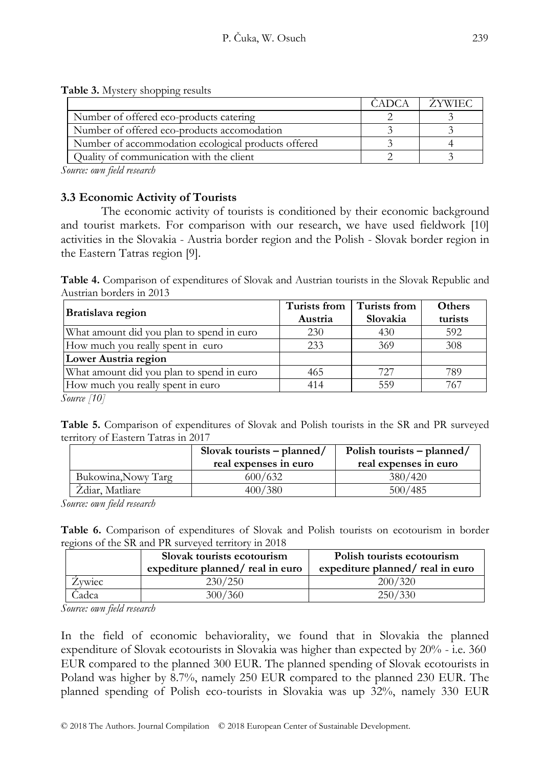|  | Table 3. Mystery shopping results |  |
|--|-----------------------------------|--|

|                                                     | ZYWIEC |
|-----------------------------------------------------|--------|
| Number of offered eco-products catering             |        |
| Number of offered eco-products accomodation         |        |
| Number of accommodation ecological products offered |        |
| Quality of communication with the client            |        |

*Source: own field research*

#### **3.3 Economic Activity of Tourists**

The economic activity of tourists is conditioned by their economic background and tourist markets. For comparison with our research, we have used fieldwork [10] activities in the Slovakia - Austria border region and the Polish - Slovak border region in the Eastern Tatras region [9].

**Table 4.** Comparison of expenditures of Slovak and Austrian tourists in the Slovak Republic and Austrian borders in 2013

| Turists from | Turists from | <b>Others</b><br>turists |  |
|--------------|--------------|--------------------------|--|
| 230          | 430          | 592                      |  |
| 233          | 369          | 308                      |  |
|              |              |                          |  |
| 465          | 727          | 789                      |  |
| 414          | 559          | 767                      |  |
|              | Austria      | Slovakia                 |  |

*Source [10]*

**Table 5.** Comparison of expenditures of Slovak and Polish tourists in the SR and PR surveyed territory of Eastern Tatras in 2017

|                     | Slovak tourists $-p$ lanned/<br>real expenses in euro | Polish tourists – planned/<br>real expenses in euro |
|---------------------|-------------------------------------------------------|-----------------------------------------------------|
| Bukowina, Nowy Targ | 600/632                                               | 380/420                                             |
| Zdiar, Matliare     | 400/380                                               | 500/485                                             |

*Source: own field research*

**Table 6.** Comparison of expenditures of Slovak and Polish tourists on ecotourism in border regions of the SR and PR surveyed territory in 2018

|        | Slovak tourists ecotourism<br>expediture planned/real in euro | Polish tourists ecotourism<br>expediture planned/real in euro |
|--------|---------------------------------------------------------------|---------------------------------------------------------------|
| Zywiec | 230/250                                                       | 200/320                                                       |
| `adca  | 300/360                                                       | 250/330                                                       |

*Source: own field research*

In the field of economic behaviorality, we found that in Slovakia the planned expenditure of Slovak ecotourists in Slovakia was higher than expected by 20% - i.e. 360 EUR compared to the planned 300 EUR. The planned spending of Slovak ecotourists in Poland was higher by 8.7%, namely 250 EUR compared to the planned 230 EUR. The planned spending of Polish eco-tourists in Slovakia was up 32%, namely 330 EUR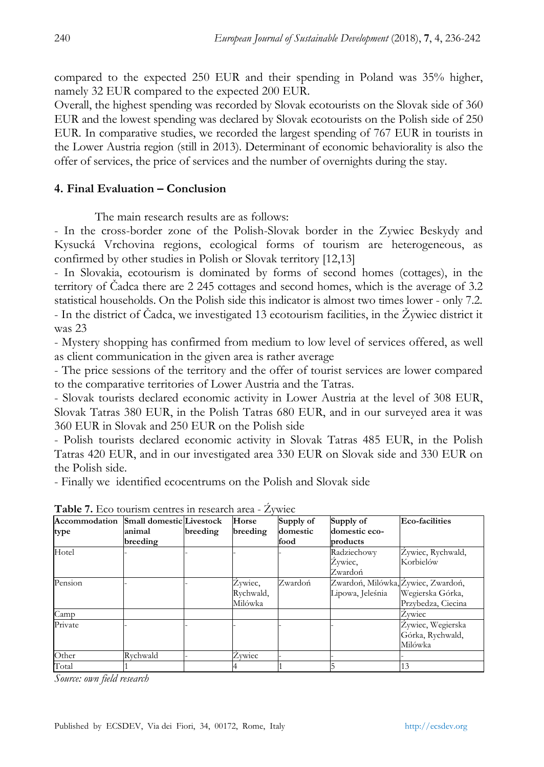compared to the expected 250 EUR and their spending in Poland was 35% higher, namely 32 EUR compared to the expected 200 EUR.

Overall, the highest spending was recorded by Slovak ecotourists on the Slovak side of 360 EUR and the lowest spending was declared by Slovak ecotourists on the Polish side of 250 EUR. In comparative studies, we recorded the largest spending of 767 EUR in tourists in the Lower Austria region (still in 2013). Determinant of economic behaviorality is also the offer of services, the price of services and the number of overnights during the stay.

#### **4. Final Evaluation – Conclusion**

The main research results are as follows:

- In the cross-border zone of the Polish-Slovak border in the Zywiec Beskydy and Kysucká Vrchovina regions, ecological forms of tourism are heterogeneous, as confirmed by other studies in Polish or Slovak territory [12,13]

- In Slovakia, ecotourism is dominated by forms of second homes (cottages), in the territory of Čadca there are 2 245 cottages and second homes, which is the average of 3.2 statistical households. On the Polish side this indicator is almost two times lower - only 7.2. - In the district of Čadca, we investigated 13 ecotourism facilities, in the Žywiec district it was 23

- Mystery shopping has confirmed from medium to low level of services offered, as well as client communication in the given area is rather average

- The price sessions of the territory and the offer of tourist services are lower compared to the comparative territories of Lower Austria and the Tatras.

- Slovak tourists declared economic activity in Lower Austria at the level of 308 EUR, Slovak Tatras 380 EUR, in the Polish Tatras 680 EUR, and in our surveyed area it was 360 EUR in Slovak and 250 EUR on the Polish side

- Polish tourists declared economic activity in Slovak Tatras 485 EUR, in the Polish Tatras 420 EUR, and in our investigated area 330 EUR on Slovak side and 330 EUR on the Polish side.

- Finally we identified ecocentrums on the Polish and Slovak side

| Accommodation | <b>Small domestic Livestock</b> |          | Horse     | Supply of | Supply of                          | Eco-facilities     |
|---------------|---------------------------------|----------|-----------|-----------|------------------------------------|--------------------|
| type          | animal                          | breeding | breeding  | domestic  | domestic eco-                      |                    |
|               | breeding                        |          |           | food      | products                           |                    |
| Hotel         |                                 |          |           |           | Radziechowy                        | Zywiec, Rychwald,  |
|               |                                 |          |           |           | Zywiec,                            | Korbielów          |
|               |                                 |          |           |           | Zwardoń                            |                    |
| Pension       |                                 |          | Źywiec,   | Zwardoń   | Zwardoń, Milówka, Źywiec, Zwardoń, |                    |
|               |                                 |          | Rychwald, |           | Lipowa, Jeleśnia                   | Wegierska Górka,   |
|               |                                 |          | Milówka   |           |                                    | Przybedza, Ciecina |
| Camp          |                                 |          |           |           |                                    | Zywiec             |
| Private       |                                 |          |           |           |                                    | Zywiec, Wegierska  |
|               |                                 |          |           |           |                                    | Górka, Rychwald,   |
|               |                                 |          |           |           |                                    | Milówka            |
| Other         | Rvchwald                        |          | Źvwiec    |           |                                    |                    |
| Total         |                                 |          |           |           |                                    | 13                 |

**Table 7.** Eco tourism centres in research area - Źywiec

*Source: own field research*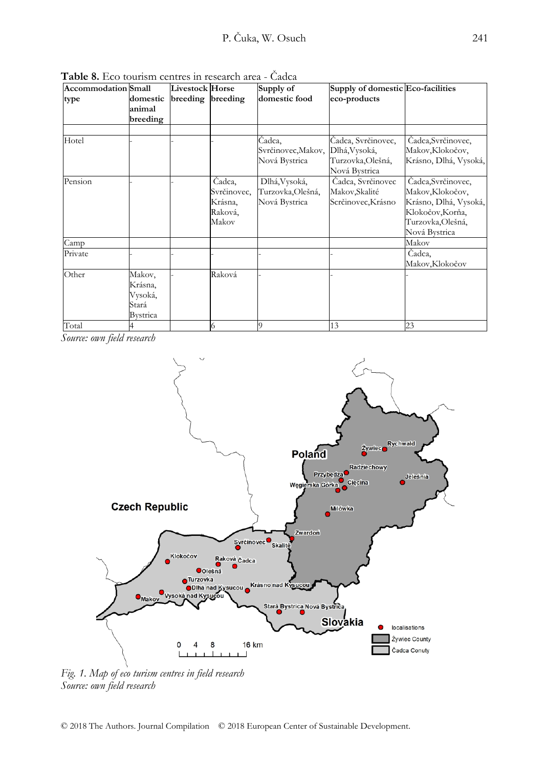| <b>Accommodation Small</b> |                                                   | <b>Livestock Horse</b> |                                                      | Supply of                                          | Supply of domestic Eco-facilities                                         |                                                                                                                          |
|----------------------------|---------------------------------------------------|------------------------|------------------------------------------------------|----------------------------------------------------|---------------------------------------------------------------------------|--------------------------------------------------------------------------------------------------------------------------|
| type                       | domestic<br>animal<br>breeding                    | breeding breeding      |                                                      | domestic food                                      | eco-products                                                              |                                                                                                                          |
|                            |                                                   |                        |                                                      |                                                    |                                                                           |                                                                                                                          |
| Hotel                      |                                                   |                        |                                                      | Čadca,<br>Svrčinovec, Makov,<br>Nová Bystrica      | Čadca, Svrčinovec,<br>Dlhá, Vysoká,<br>Turzovka, Olešná,<br>Nová Bystrica | Čadca, Svrčinovec,<br>Makov, Klokočov,<br>Krásno, Dlhá, Vysoká,                                                          |
| Pension                    |                                                   |                        | Čadca,<br>Svrčinovec,<br>Krásna,<br>Raková,<br>Makov | Dlhá, Vysoká,<br>Turzovka,Olešná,<br>Nová Bystrica | Čadca, Svrčinovec<br>Makov, Skalité<br>Scrčinovec, Krásno                 | Čadca, Svrčinovec,<br>Makov, Klokočov,<br>Krásno, Dlhá, Vysoká,<br>Klokočov, Korňa,<br>Turzovka,Olešná,<br>Nová Bystrica |
| Camp                       |                                                   |                        |                                                      |                                                    |                                                                           | Makov                                                                                                                    |
| Private                    |                                                   |                        |                                                      |                                                    |                                                                           | Čadca,<br>Makov,Klokočov                                                                                                 |
| Other                      | Makov,<br>Krásna,<br>Vysoká,<br>Stará<br>Bystrica |                        | Raková                                               |                                                    |                                                                           |                                                                                                                          |
| Total                      |                                                   |                        | 6                                                    |                                                    | 13                                                                        | 23                                                                                                                       |

**Table 8.** Eco tourism centres in research area - Čadca

*Source: own field research*



*Fig. 1. Map of eco turism centres in field research Source: own field research*